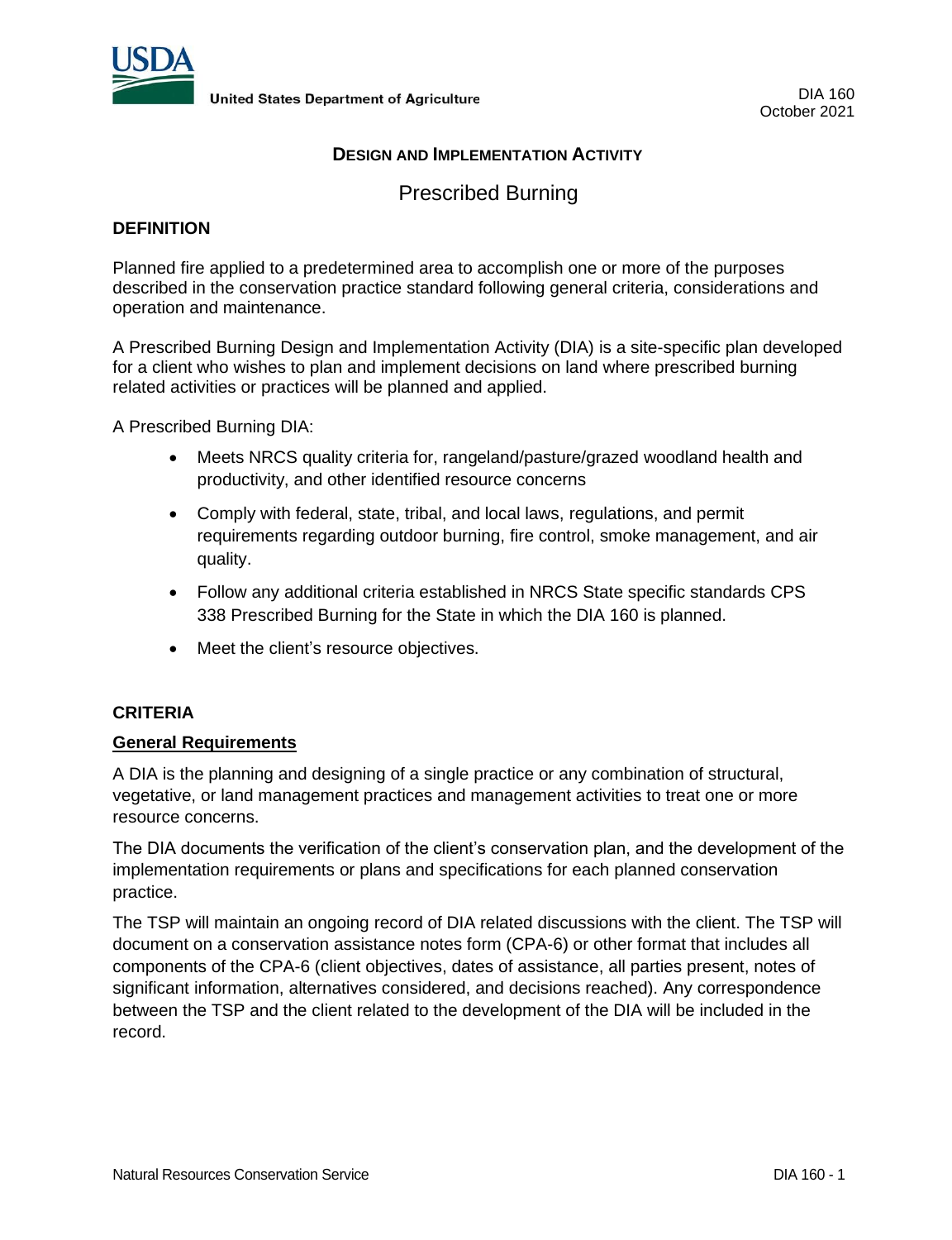

# **DESIGN AND IMPLEMENTATION ACTIVITY**

Prescribed Burning

## **DEFINITION**

Planned fire applied to a predetermined area to accomplish one or more of the purposes described in the conservation practice standard following general criteria, considerations and operation and maintenance.

A Prescribed Burning Design and Implementation Activity (DIA) is a site-specific plan developed for a client who wishes to plan and implement decisions on land where prescribed burning related activities or practices will be planned and applied.

A Prescribed Burning DIA:

- Meets NRCS quality criteria for, rangeland/pasture/grazed woodland health and productivity, and other identified resource concerns
- Comply with federal, state, tribal, and local laws, regulations, and permit requirements regarding outdoor burning, fire control, smoke management, and air quality.
- Follow any additional criteria established in NRCS State specific standards CPS 338 Prescribed Burning for the State in which the DIA 160 is planned.
- Meet the client's resource objectives.

### **CRITERIA**

### **General Requirements**

A DIA is the planning and designing of a single practice or any combination of structural, vegetative, or land management practices and management activities to treat one or more resource concerns.

The DIA documents the verification of the client's conservation plan, and the development of the implementation requirements or plans and specifications for each planned conservation practice.

The TSP will maintain an ongoing record of DIA related discussions with the client. The TSP will document on a conservation assistance notes form (CPA-6) or other format that includes all components of the CPA-6 (client objectives, dates of assistance, all parties present, notes of significant information, alternatives considered, and decisions reached). Any correspondence between the TSP and the client related to the development of the DIA will be included in the record.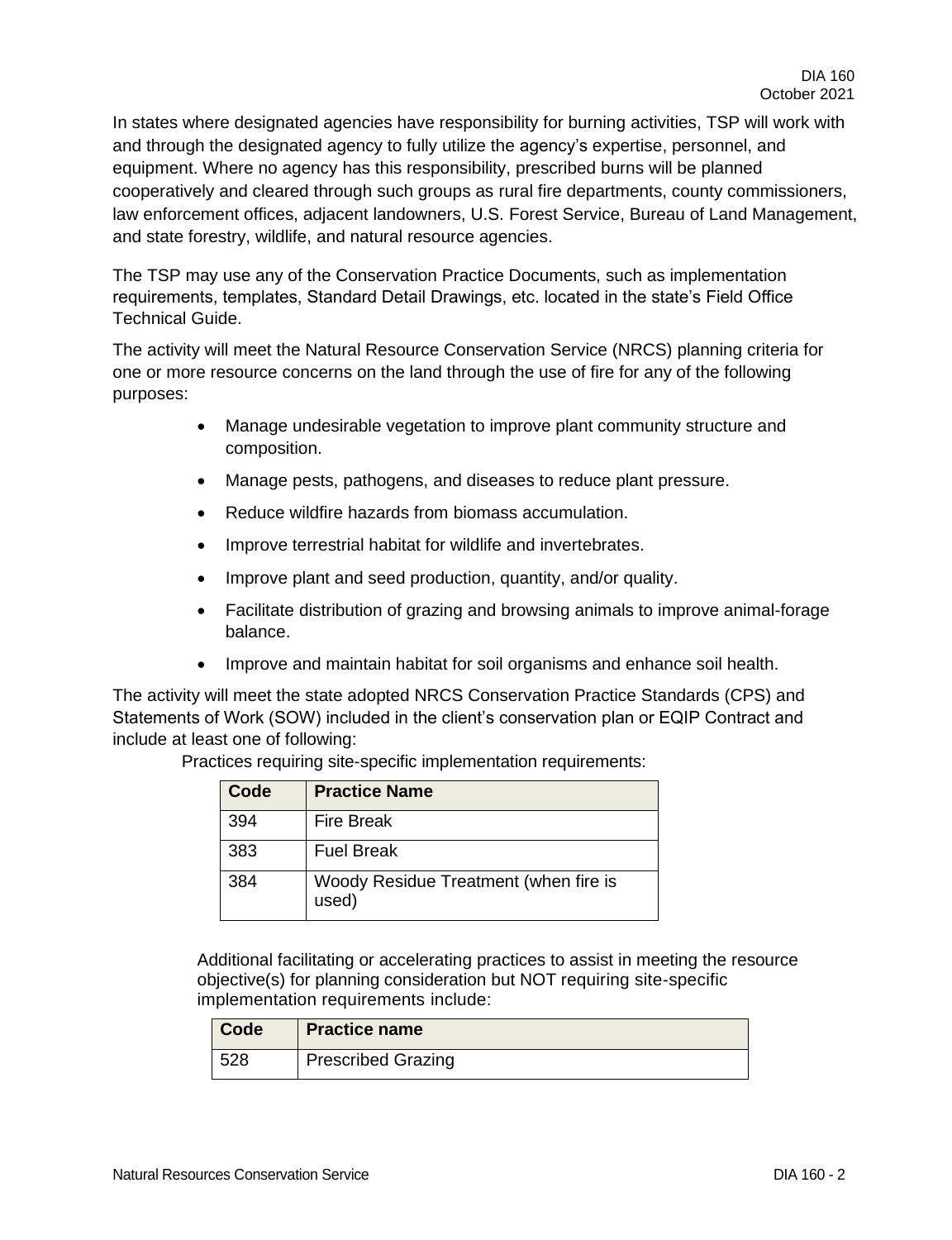In states where designated agencies have responsibility for burning activities, TSP will work with and through the designated agency to fully utilize the agency's expertise, personnel, and equipment. Where no agency has this responsibility, prescribed burns will be planned cooperatively and cleared through such groups as rural fire departments, county commissioners, law enforcement offices, adjacent landowners, U.S. Forest Service, Bureau of Land Management, and state forestry, wildlife, and natural resource agencies.

The TSP may use any of the Conservation Practice Documents, such as implementation requirements, templates, Standard Detail Drawings, etc. located in the state's Field Office Technical Guide.

The activity will meet the Natural Resource Conservation Service (NRCS) planning criteria for one or more resource concerns on the land through the use of fire for any of the following purposes:

- Manage undesirable vegetation to improve plant community structure and composition.
- Manage pests, pathogens, and diseases to reduce plant pressure.
- Reduce wildfire hazards from biomass accumulation.
- Improve terrestrial habitat for wildlife and invertebrates.
- Improve plant and seed production, quantity, and/or quality.
- Facilitate distribution of grazing and browsing animals to improve animal-forage balance.
- Improve and maintain habitat for soil organisms and enhance soil health.

The activity will meet the state adopted NRCS Conservation Practice Standards (CPS) and Statements of Work (SOW) included in the client's conservation plan or EQIP Contract and include at least one of following:

| Code | <b>Practice Name</b>                           |
|------|------------------------------------------------|
| 394  | <b>Fire Break</b>                              |
| 383  | <b>Fuel Break</b>                              |
| 384  | Woody Residue Treatment (when fire is<br>used) |

Practices requiring site-specific implementation requirements:

Additional facilitating or accelerating practices to assist in meeting the resource objective(s) for planning consideration but NOT requiring site-specific implementation requirements include:

| Code | <b>Practice name</b>      |
|------|---------------------------|
| 528  | <b>Prescribed Grazing</b> |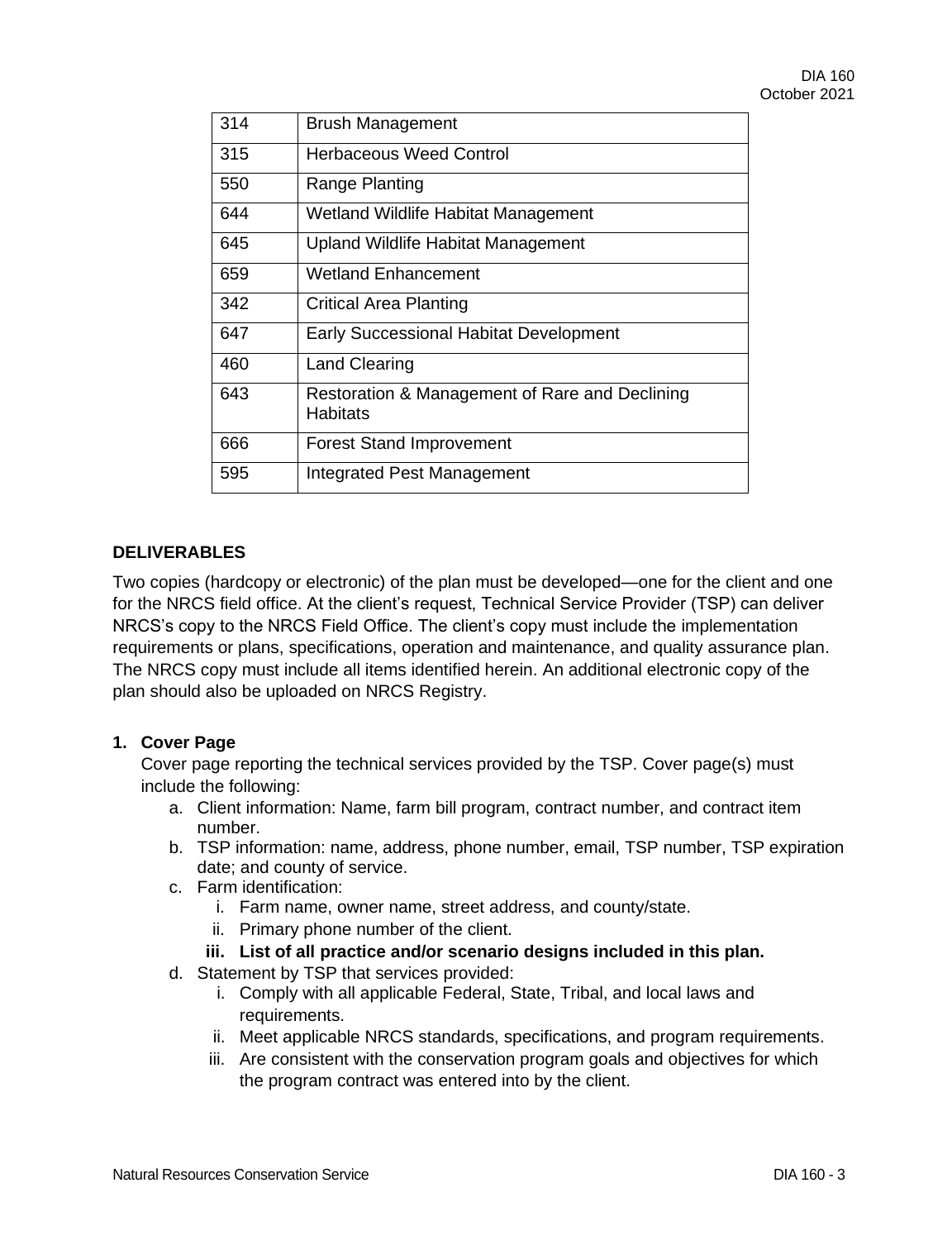| 314 | <b>Brush Management</b>                                           |
|-----|-------------------------------------------------------------------|
| 315 | <b>Herbaceous Weed Control</b>                                    |
| 550 | Range Planting                                                    |
| 644 | Wetland Wildlife Habitat Management                               |
| 645 | <b>Upland Wildlife Habitat Management</b>                         |
| 659 | <b>Wetland Enhancement</b>                                        |
| 342 | <b>Critical Area Planting</b>                                     |
| 647 | <b>Early Successional Habitat Development</b>                     |
| 460 | <b>Land Clearing</b>                                              |
| 643 | Restoration & Management of Rare and Declining<br><b>Habitats</b> |
| 666 | <b>Forest Stand Improvement</b>                                   |
| 595 | Integrated Pest Management                                        |

## **DELIVERABLES**

Two copies (hardcopy or electronic) of the plan must be developed—one for the client and one for the NRCS field office. At the client's request, Technical Service Provider (TSP) can deliver NRCS's copy to the NRCS Field Office. The client's copy must include the implementation requirements or plans, specifications, operation and maintenance, and quality assurance plan. The NRCS copy must include all items identified herein. An additional electronic copy of the plan should also be uploaded on NRCS Registry.

### **1. Cover Page**

Cover page reporting the technical services provided by the TSP. Cover page(s) must include the following:

- a. Client information: Name, farm bill program, contract number, and contract item number.
- b. TSP information: name, address, phone number, email, TSP number, TSP expiration date; and county of service.
- c. Farm identification:
	- i. Farm name, owner name, street address, and county/state.
	- ii. Primary phone number of the client.
	- **iii. List of all practice and/or scenario designs included in this plan.**
- d. Statement by TSP that services provided:
	- i. Comply with all applicable Federal, State, Tribal, and local laws and requirements.
	- ii. Meet applicable NRCS standards, specifications, and program requirements.
	- iii. Are consistent with the conservation program goals and objectives for which the program contract was entered into by the client.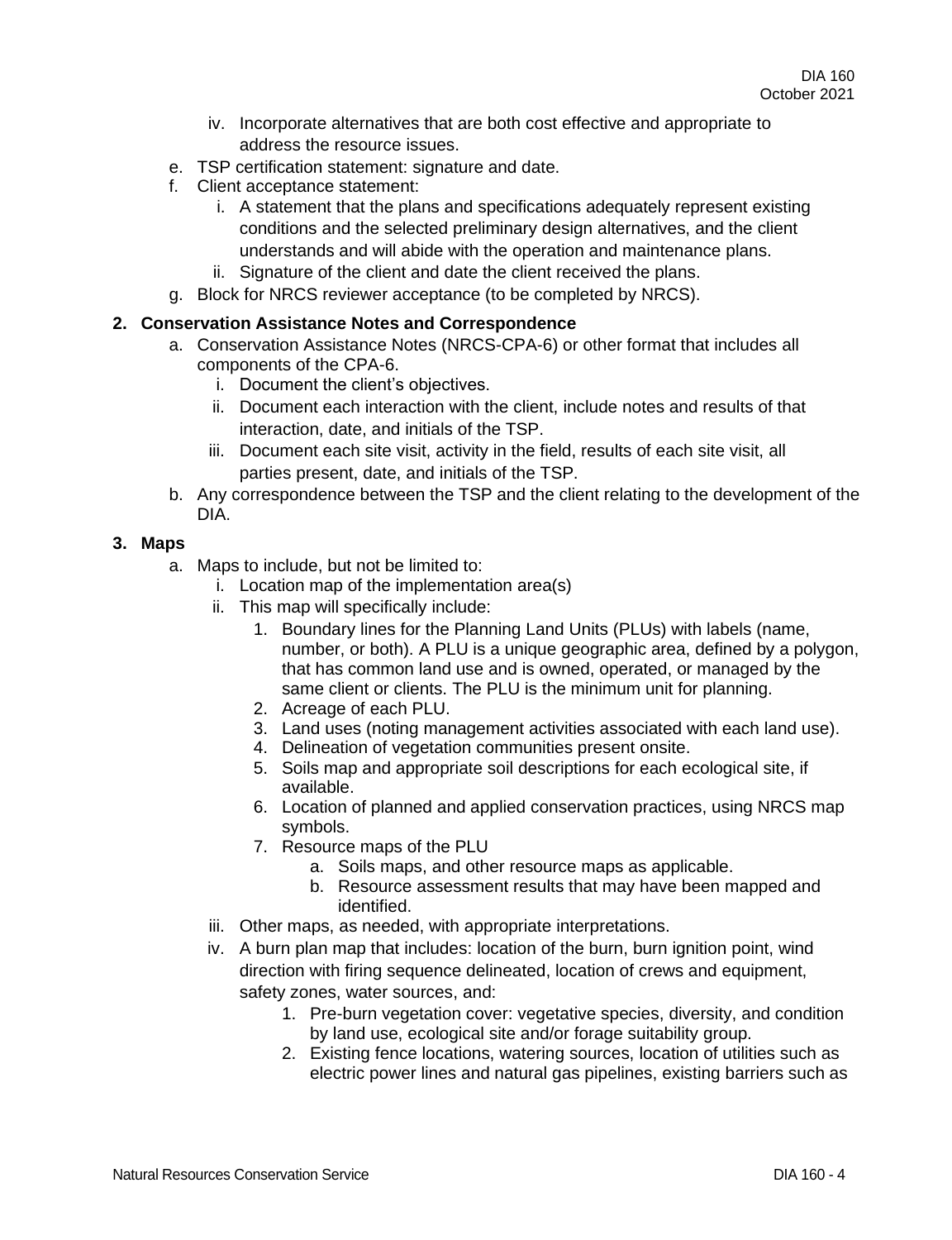- iv. Incorporate alternatives that are both cost effective and appropriate to address the resource issues.
- e. TSP certification statement: signature and date.
- f. Client acceptance statement:
	- i. A statement that the plans and specifications adequately represent existing conditions and the selected preliminary design alternatives, and the client understands and will abide with the operation and maintenance plans.
	- ii. Signature of the client and date the client received the plans.
- g. Block for NRCS reviewer acceptance (to be completed by NRCS).

### **2. Conservation Assistance Notes and Correspondence**

- a. Conservation Assistance Notes (NRCS-CPA-6) or other format that includes all components of the CPA-6.
	- i. Document the client's objectives.
	- ii. Document each interaction with the client, include notes and results of that interaction, date, and initials of the TSP.
	- iii. Document each site visit, activity in the field, results of each site visit, all parties present, date, and initials of the TSP.
- b. Any correspondence between the TSP and the client relating to the development of the DIA.

### **3. Maps**

- a. Maps to include, but not be limited to:
	- i. Location map of the implementation area(s)
	- ii. This map will specifically include:
		- 1. Boundary lines for the Planning Land Units (PLUs) with labels (name, number, or both). A PLU is a unique geographic area, defined by a polygon, that has common land use and is owned, operated, or managed by the same client or clients. The PLU is the minimum unit for planning.
		- 2. Acreage of each PLU.
		- 3. Land uses (noting management activities associated with each land use).
		- 4. Delineation of vegetation communities present onsite.
		- 5. Soils map and appropriate soil descriptions for each ecological site, if available.
		- 6. Location of planned and applied conservation practices, using NRCS map symbols.
		- 7. Resource maps of the PLU
			- a. Soils maps, and other resource maps as applicable.
			- b. Resource assessment results that may have been mapped and identified.
	- iii. Other maps, as needed, with appropriate interpretations.
	- iv. A burn plan map that includes: location of the burn, burn ignition point, wind direction with firing sequence delineated, location of crews and equipment, safety zones, water sources, and:
		- 1. Pre-burn vegetation cover: vegetative species, diversity, and condition by land use, ecological site and/or forage suitability group.
		- 2. Existing fence locations, watering sources, location of utilities such as electric power lines and natural gas pipelines, existing barriers such as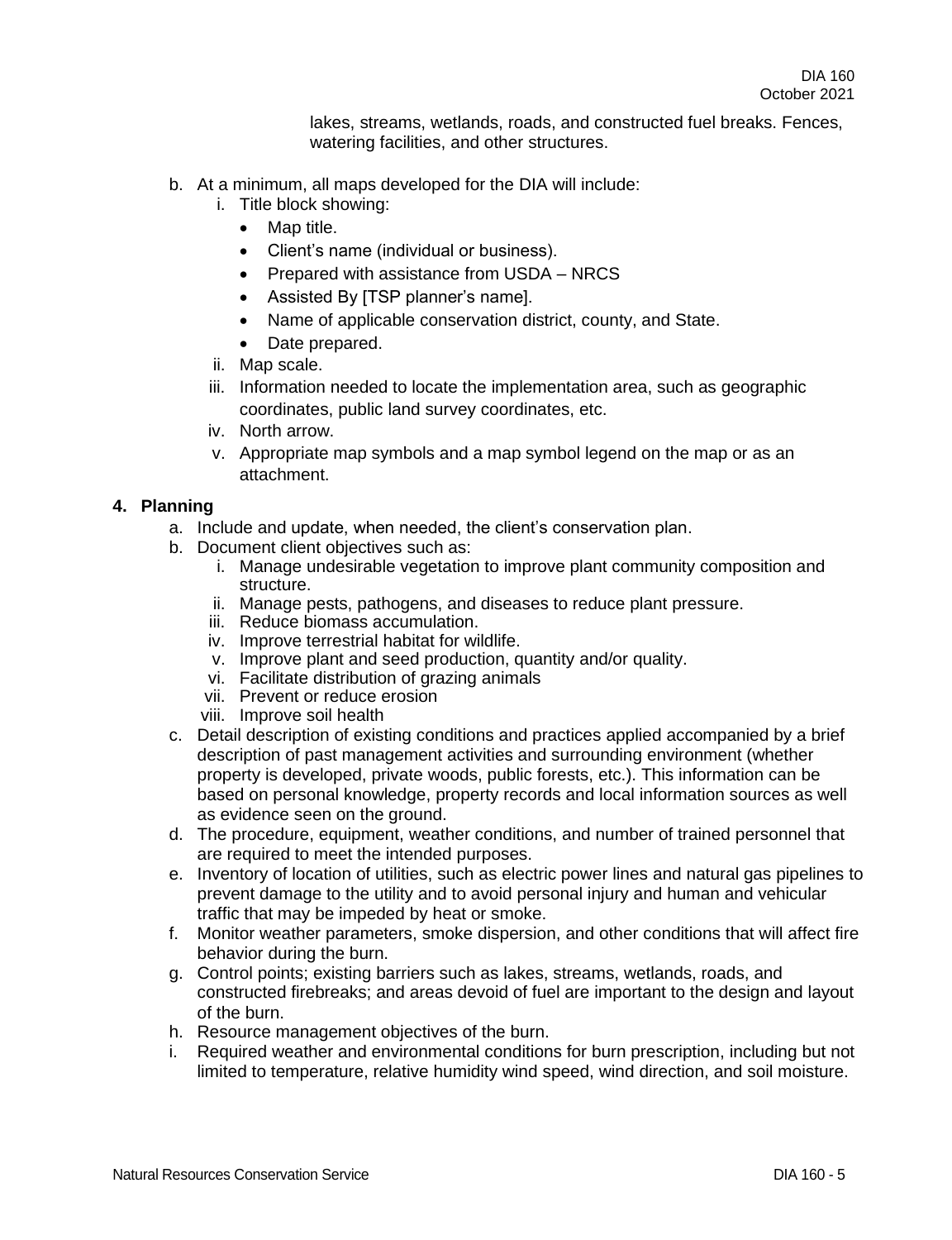lakes, streams, wetlands, roads, and constructed fuel breaks. Fences, watering facilities, and other structures.

- b. At a minimum, all maps developed for the DIA will include:
	- i. Title block showing:
		- Map title.
		- Client's name (individual or business).
		- Prepared with assistance from USDA NRCS
		- Assisted By [TSP planner's name].
		- Name of applicable conservation district, county, and State.
		- Date prepared.
	- ii. Map scale.
	- iii. Information needed to locate the implementation area, such as geographic coordinates, public land survey coordinates, etc.
	- iv. North arrow.
	- v. Appropriate map symbols and a map symbol legend on the map or as an attachment.

#### **4. Planning**

- a. Include and update, when needed, the client's conservation plan.
- b. Document client objectives such as:
	- i. Manage undesirable vegetation to improve plant community composition and structure.
	- ii. Manage pests, pathogens, and diseases to reduce plant pressure.
	- iii. Reduce biomass accumulation.
	- iv. Improve terrestrial habitat for wildlife.
	- v. Improve plant and seed production, quantity and/or quality.
	- vi. Facilitate distribution of grazing animals
	- vii. Prevent or reduce erosion
	- viii. Improve soil health
- c. Detail description of existing conditions and practices applied accompanied by a brief description of past management activities and surrounding environment (whether property is developed, private woods, public forests, etc.). This information can be based on personal knowledge, property records and local information sources as well as evidence seen on the ground.
- d. The procedure, equipment, weather conditions, and number of trained personnel that are required to meet the intended purposes.
- e. Inventory of location of utilities, such as electric power lines and natural gas pipelines to prevent damage to the utility and to avoid personal injury and human and vehicular traffic that may be impeded by heat or smoke.
- f. Monitor weather parameters, smoke dispersion, and other conditions that will affect fire behavior during the burn.
- g. Control points; existing barriers such as lakes, streams, wetlands, roads, and constructed firebreaks; and areas devoid of fuel are important to the design and layout of the burn.
- h. Resource management objectives of the burn.
- i. Required weather and environmental conditions for burn prescription, including but not limited to temperature, relative humidity wind speed, wind direction, and soil moisture.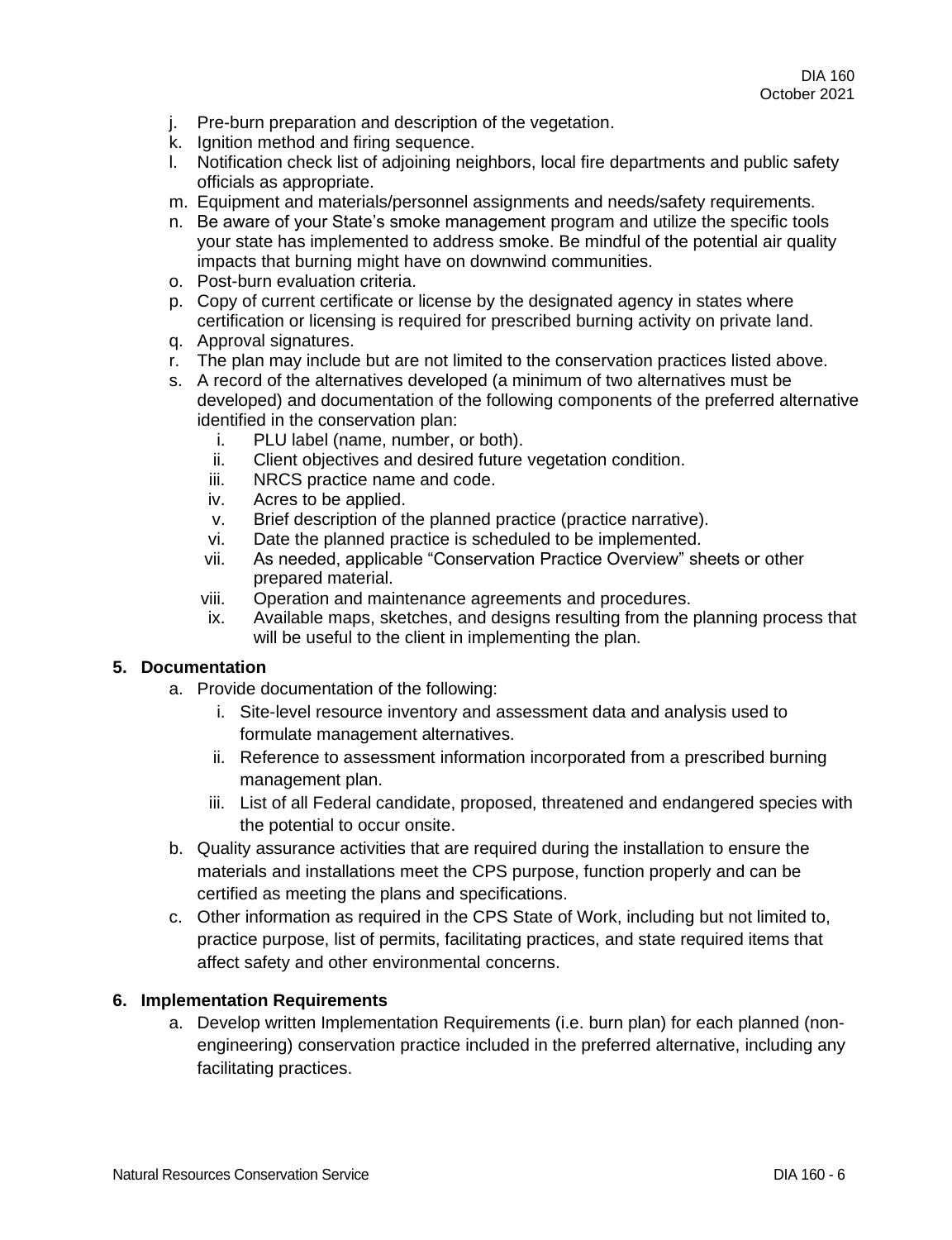- j. Pre-burn preparation and description of the vegetation.
- k. Ignition method and firing sequence.
- l. Notification check list of adjoining neighbors, local fire departments and public safety officials as appropriate.
- m. Equipment and materials/personnel assignments and needs/safety requirements.
- n. Be aware of your State's smoke management program and utilize the specific tools your state has implemented to address smoke. Be mindful of the potential air quality impacts that burning might have on downwind communities.
- o. Post-burn evaluation criteria.
- p. Copy of current certificate or license by the designated agency in states where certification or licensing is required for prescribed burning activity on private land.
- q. Approval signatures.
- r. The plan may include but are not limited to the conservation practices listed above.
- s. A record of the alternatives developed (a minimum of two alternatives must be developed) and documentation of the following components of the preferred alternative identified in the conservation plan:
	- i. PLU label (name, number, or both).
	- ii. Client objectives and desired future vegetation condition.
	- iii. NRCS practice name and code.
	- iv. Acres to be applied.
	- v. Brief description of the planned practice (practice narrative).
	- vi. Date the planned practice is scheduled to be implemented.
	- vii. As needed, applicable "Conservation Practice Overview" sheets or other prepared material.
	- viii. Operation and maintenance agreements and procedures.
	- ix. Available maps, sketches, and designs resulting from the planning process that will be useful to the client in implementing the plan.

### **5. Documentation**

- a. Provide documentation of the following:
	- i. Site-level resource inventory and assessment data and analysis used to formulate management alternatives.
	- ii. Reference to assessment information incorporated from a prescribed burning management plan.
	- iii. List of all Federal candidate, proposed, threatened and endangered species with the potential to occur onsite.
- b. Quality assurance activities that are required during the installation to ensure the materials and installations meet the CPS purpose, function properly and can be certified as meeting the plans and specifications.
- c. Other information as required in the CPS State of Work, including but not limited to, practice purpose, list of permits, facilitating practices, and state required items that affect safety and other environmental concerns.

## **6. Implementation Requirements**

a. Develop written Implementation Requirements (i.e. burn plan) for each planned (nonengineering) conservation practice included in the preferred alternative, including any facilitating practices.